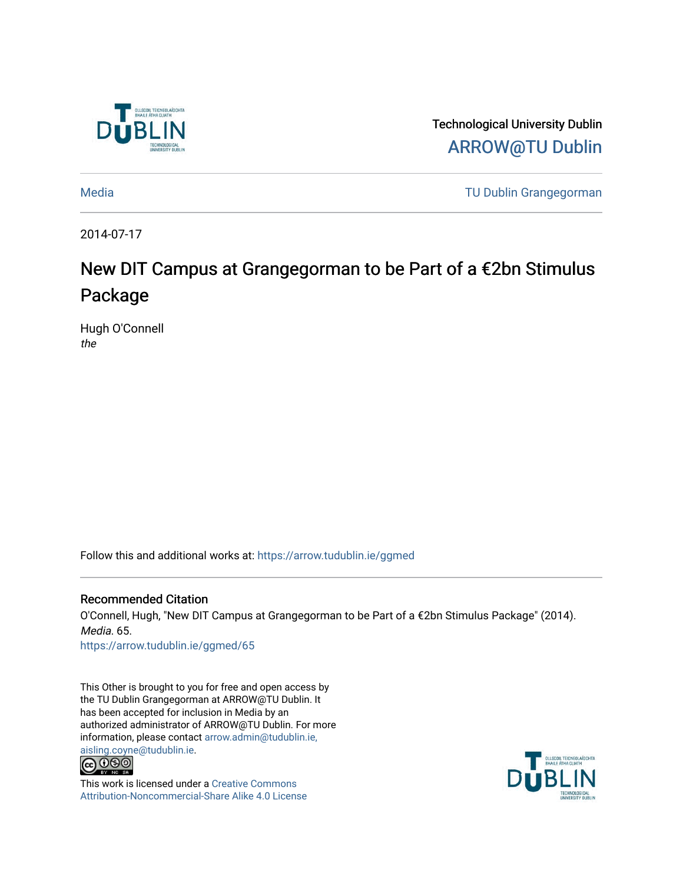

Technological University Dublin [ARROW@TU Dublin](https://arrow.tudublin.ie/) 

[Media](https://arrow.tudublin.ie/ggmed) [TU Dublin Grangegorman](https://arrow.tudublin.ie/ditgg) 

2014-07-17

## New DIT Campus at Grangegorman to be Part of a €2bn Stimulus Package

Hugh O'Connell the

Follow this and additional works at: [https://arrow.tudublin.ie/ggmed](https://arrow.tudublin.ie/ggmed?utm_source=arrow.tudublin.ie%2Fggmed%2F65&utm_medium=PDF&utm_campaign=PDFCoverPages) 

Recommended Citation O'Connell, Hugh, "New DIT Campus at Grangegorman to be Part of a €2bn Stimulus Package" (2014). Media. 65. [https://arrow.tudublin.ie/ggmed/65](https://arrow.tudublin.ie/ggmed/65?utm_source=arrow.tudublin.ie%2Fggmed%2F65&utm_medium=PDF&utm_campaign=PDFCoverPages)

This Other is brought to you for free and open access by the TU Dublin Grangegorman at ARROW@TU Dublin. It has been accepted for inclusion in Media by an authorized administrator of ARROW@TU Dublin. For more information, please contact [arrow.admin@tudublin.ie,](mailto:arrow.admin@tudublin.ie,%20aisling.coyne@tudublin.ie) 



This work is licensed under a [Creative Commons](http://creativecommons.org/licenses/by-nc-sa/4.0/) [Attribution-Noncommercial-Share Alike 4.0 License](http://creativecommons.org/licenses/by-nc-sa/4.0/)

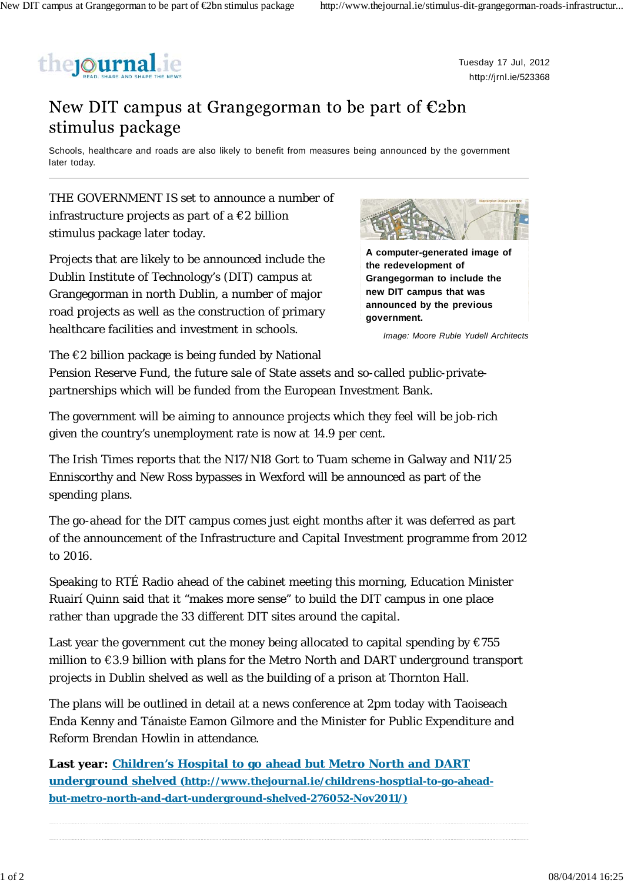

Tuesday 17 Jul, 2012 http://jrnl.ie/523368

## New DIT campus at Grangegorman to be part of  $\epsilon$ 2bn stimulus package

Schools, healthcare and roads are also likely to benefit from measures being announced by the government later today.

THE GOVERNMENT IS set to announce a number of infrastructure projects as part of a  $\epsilon$ 2 billion stimulus package later today.

Projects that are likely to be announced include the Dublin Institute of Technology's (DIT) campus at Grangegorman in north Dublin, a number of major road projects as well as the construction of primary healthcare facilities and investment in schools.



**A computer-generated image of the redevelopment of Grangegorman to include the new DIT campus that was announced by the previous government.**

*Image: Moore Ruble Yudell Architects*

The  $\epsilon$ 2 billion package is being funded by National

Pension Reserve Fund, the future sale of State assets and so-called public-privatepartnerships which will be funded from the European Investment Bank.

The government will be aiming to announce projects which they feel will be job-rich given the country's unemployment rate is now at 14.9 per cent.

The Irish Times reports that the N17/N18 Gort to Tuam scheme in Galway and N11/25 Enniscorthy and New Ross bypasses in Wexford will be announced as part of the spending plans.

The go-ahead for the DIT campus comes just eight months after it was deferred as part of the announcement of the Infrastructure and Capital Investment programme from 2012 to 2016.

Speaking to RTÉ Radio ahead of the cabinet meeting this morning, Education Minister Ruairí Quinn said that it "makes more sense" to build the DIT campus in one place rather than upgrade the 33 different DIT sites around the capital.

Last year the government cut the money being allocated to capital spending by  $\epsilon$ 755 million to €3.9 billion with plans for the Metro North and DART underground transport projects in Dublin shelved as well as the building of a prison at Thornton Hall.

The plans will be outlined in detail at a news conference at 2pm today with Taoiseach Enda Kenny and Tánaiste Eamon Gilmore and the Minister for Public Expenditure and Reform Brendan Howlin in attendance.

**Last year: Children's Hospital to go ahead but Metro North and DART underground shelved (http://www.thejournal.ie/childrens-hosptial-to-go-aheadbut-metro-north-and-dart-underground-shelved-276052-Nov2011/)**